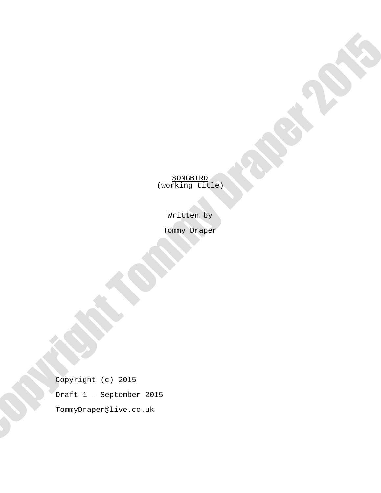**SONGBIRD** (working title)  $\sqrt{2}$ 

Written by

Tommy Draper

Copyright Tommy Draper 2015

Tommy Draper@live.co.uk Copyright (c) 2015 Draft 1 - September 2015 TommyDraper Copyright TommyDraper 2015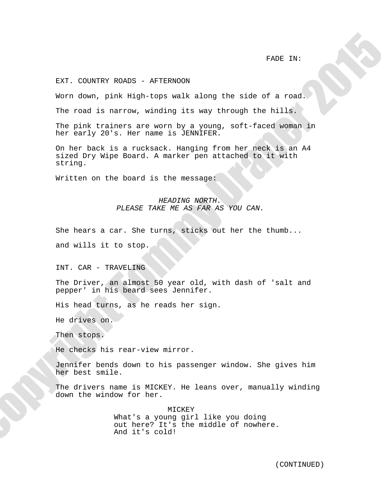FADE IN:

Copyright Tommy Draper 2015

# EXT. COUNTRY ROADS - AFTERNOON

Worn down, pink High-tops walk along the side of a road. Copyright Tommy Draper 2015

Copyright Tommy Draper 2015 The road is narrow, winding its way through the hills.

The pink trainers are worn by a young, soft-faced woman in her early 20's. Her name is JENNIFER.

On her back is a rucksack. Hanging from her neck is an A4 sized Dry Wipe Board. A marker pen attached to it with string. FACT COURTSY FORDS AFTENDOOR<br>
Norm doen, pink filad-tons wak along the side of a road.<br>
The roof is narrow, winding its way incough the milita.<br>
The pick proper by a rough the military is the simulation of the side of a r

Written on the board is the message:

## HEADING NORTH. PLEASE TAKE ME AS FAR AS YOU CAN.

Copyright Tommy Draper 2015

She hears a car. She turns, sticks out her the thumb...

and wills it to stop.

INT. CAR - TRAVELING

The Driver, an almost 50 year old, with dash of 'salt and pepper' in his beard sees Jennifer.

His head turns, as he reads her sign.  $\frac{1}{2}$  or  $\frac{1}{2}$ 

 $\sum_{i=1}^{n}$ He drives on.

Copyright Tommy Draper 2015

Then stops.

He checks his rear-view mirror. or.

Jennifer bends down to his passenger window. She gives him her best smile.

The drivers name is MICKEY. He leans over, manually winding<br>down the window for her down the window for her.

Copyright Tommy Draper 2015 out here? It's the middle of nowhere. MICKEY What's a young girl like you doing And it's cold!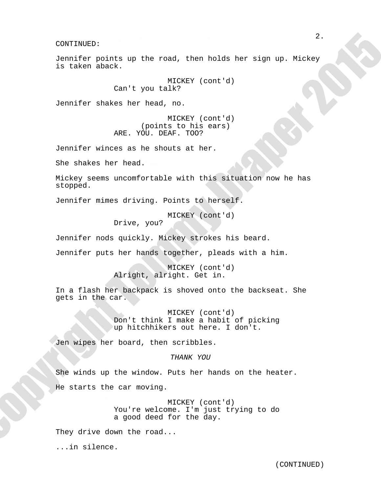Jennifer points up the road, then holds her sign up. Mickey is taken aback. The compared of the compared of the compared of the compared of the compared of the compared of the compared of the compared of the compared of the compared of the compared of the compared of the compared o

> MICKEY (cont'd) Can't you talk?

Jennifer shakes her head, no.

MICKEY (cont'd) (points to his ears) ARE. YOU. DEAF. TOO?

Jennifer winces as he shouts at her. Copyright Tommy Draper 2015

She shakes her head.

Mickey seems uncomfortable with this situation now he has stopped.

Jennifer mimes driving. Points to herself. commence memore as every.

MICKEY (cont'd)

Copyright Tommy Draper 2015

Drive, you?

Jennifer nods quickly. Mickey strokes his beard.

Jennifer puts her hands together, pleads with a him.

Alright, alright. Get in. MICKEY (cont'd)

In a flash her backpack is shoved onto the backseat. She gets in the car.

Lon Communication Tommy Draper 2015<br>
up hitchhikers out here. I don't. Don't think I make a habit of picking MICKEY (cont'd)  $C_{\rm p}$   $\alpha_{\rm p}$   $\alpha_{\rm p}$   $\alpha_{\rm p}$ 

Jen wipes her board, then scribbles.

THANK YOU

She winds up the window. Puts her hands on the heater. He starts the car moving. 2.<br>
Contribute points up the road, then holds her aign up. Mickey<br>
in color inc. The state of the road, then holds her aign up. Mickey<br>
(contribute the hold, ne. 1990)<br>
(contribute the hold, ne. 1990)<br>
(contribute the road

Copyright Tommy Draper 2015 MICKEY (cont'd) You're welcome. I'm just trying to do a good deed for the day.

Copyright Tommy Draper 2015 They drive down the road...

 $\overline{C}$ ...in silence.

Copyright Tommy Draper 2015

Copyright Tommy Draper 2015

Copyright Tommy Draper 2015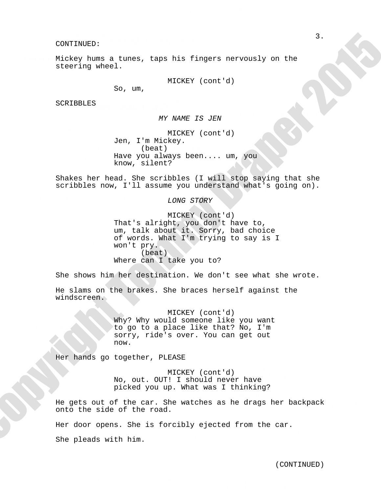Mickey hums a tunes, taps his fingers nervously on the steering wheel. Mickey hums a tunes,  $WILCL$ .

MICKEY (cont'd)

So, um,

SCRIBBLES  $\overline{\phantom{a}}$ 

MY NAME IS JEN Copyright Tommy Draper 2015

MICKEY (cont'd) Have you always been.... um, you<br>know, silent? Jen, I'm Mickey. (beat) know, silent? (beat)<br>Have you always been.... um. you

shakes her head. She scribbles (I will stop saying that she<br>scribbles now, I'll assume you understand what's going on). Shakes her head. She scribbles (I will stop saying that she

LONG STORY

micket (cont a)<br>That's alright, you don't have to, MICKEY (cont'd) um, talk about it. Sorry, bad choice of words. What I'm trying to say is I won't pry. (beat) Where can I take you to? MICKEY<br>
Jen, I'm Mickey.<br>
Have you always be<br>
know, silent?<br>
Shakes her head. She scribbles<br>
scribbles now, I'll assume you<br>
LONG S<br>
MICKEY<br>
That's alright, yo<br>
MICKEY<br>
That's alright, yo<br>
um, talk about it.<br>
of wor't pry. CONFIRMING ROOM (Record) and the set of the set of the set of the set of the set of the set of the set of the set of the set of the set of the set of the set of the set of the set of the set of the set of the set of the s

She shows him her destination. We don't see what she wrote.

He slams on the brakes. She braces herself against the<br>windscreen windscreen.

sorry, ride's over. You can get out MICKEY (cont'd) Why? Why would someone like you want to go to a place like that? No, I'm now.

Her hands go together, PLEASE

MICKEY (CONT'A)<br>No, out. OUT! I should never have MICKEY (cont'd) picked you up. What was I thinking? ng?

nd year ont of the ear. She water<br>onto the side of the road. He gets out of the car. She watches as he drags her backpack<br>enterthe ride of the wood

Her door opens. She is forcibly ejected from the car.

 $\mathbf{v}$ ith him She pleads with him.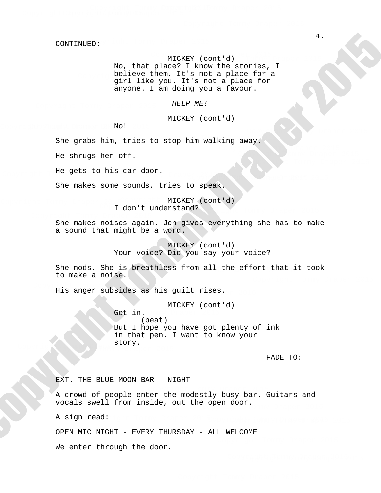# MICKEY (cont'd)

No, that place? I know the stories, I believe them. It's not a place for a girl like you. It's not a place for anyone. I am doing you a favour.

### HELP ME!

## MICKEY (cont'd)

 $N_{\text{O}}$ ! No!  $\mathbb{C}^n$ 

> Copyright Tommy Draper 2015 She grabs him, tries to stop him walking away.

He shrugs her off.

He gets to his car door.

She makes some sounds, tries to speak.

Copyright Tommy Draper 2015 MICKEY (cont'd) I don't understand?

She makes noises again. Jen gives everything she has to make a sound that might be a word.

> MICKEY (cont'd) Your voice? Did you say your voice?

She nods. She is breathless from all the effort that it took to make a noise.

His anger subsides as his guilt rises.

Get in.  $Cov_Y$ Copyright Tommy Draper 2015 MICKEY (cont'd) (beat) But I hope you have got plenty of ink in that pen. I want to know your story. 2. Copyright Tommy Draper 2015<br>
And the place of the most form and meaning, 4<br>  $\frac{1}{2}$  and the place of the most and conservation in the conservation of the most and conservation<br>  $\frac{1}{2}$  and  $\frac{1}{2}$  and  $\frac{1}{2}$  ar

FADE TO:

EXT. THE BLUE MOON BAR - NIGHT

A crowd of people enter the modestly busy bar. Guitars and vocals swell from inside, out the open door. Copyright Tommy Draper 2015

A sign read:

OPEN MIC NIGHT - EVERY THURSDAY - ALL WELCOME

We enter through the door.

Copyright Tommy Draper 2015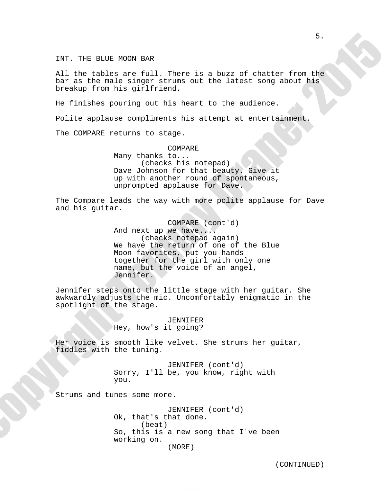INT. THE BLUE MOON BAR

All the tables are full. There is a buzz of chatter from the bar as the male singer strums out the latest song about his breakup from his girlfriend.

He finishes pouring out his heart to the audience.

Polite applause compliments his attempt at entertainment.

The COMPARE returns to stage. Copyright Tommy Draper 2015

## COMPARE

Copyright Tommy Draper 2015 COMPARE<br>Many thanks to... (checks his notepad) Dave Johnson for that beauty. Give it up with another round of spontaneous, unprompted applause for Dave. Copyright Tommy Draper 2015

The Compare leads the way with more polite applause for Dave and his guitar.

together for the girl with only one Moon favorites, put you hands re de notepad again)<br>(checks notepad again) And next up we have... COMPARE (cont'd) We have the return of one of the Blue cogecher for the grir wrth only one<br>name, but the voice of an angel, Jennifer. Copyright Tommy Draper 2015 NC I<br>Moor 5.<br>
5. Copyright Tommy Draper 2013, There is a busin of chatter from the particular production out the interest area shown be<br>
because from his attention out the interest area shown be<br>
because to the smaller could be the

Jennifer steps onto the little stage with her guitar. She awkwardly adjusts the mic. Uncomfortably enigmatic in the spotlight of the stage.

> JENNIFER Hey, how's it going?

Her voice is smooth like velvet. She strums her guitar,<br>fiddles with the tuning fiddles with the tuning.

> Sorry, I'll be, you know, right with JENNIFER (cont'd) you.

Strums and tunes some more.

working on. Ok, that's that done.<br>(beat) Deat)<br>Se is a mass warm that Ilse h JENNIFER (cont'd) Copyright Tommy Draper 2015 (beat) So, this is a new song that I've been<br>working on  $(MORE)$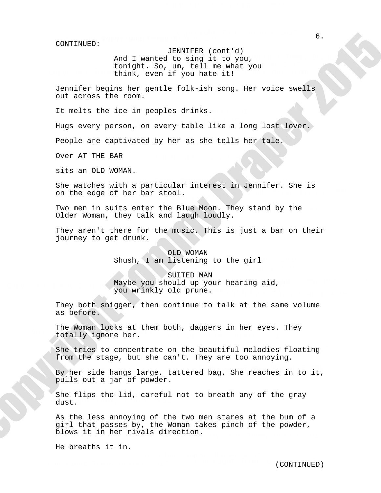And I wanted to sing it to you, JENNIFER (cont'd) tonight. So, um, tell me what you think, even if you hate it! Copyright Tommy Draper 2015  $\sum_{i=1}^{n}$ 

Jennifer begins her gentle folk-ish song. Her voice swells out across the room. Copyright Tommy Draper 2015

It melts the ice in peoples drinks.

Hugs every person, on every table like a long lost lover. Copyright Tommy Draper 2015

People are captivated by her as she tells her tale.

Over AT THE BAR

sits an OLD WOMAN.

on the edge of her bar stool. She watches with a particular interest in Jennifer. She is Copyright Tommy Draper 2015 Copyright Tommy Draper 2015

Two men in suits enter the Blue Moon. They stand by the Older Woman, they talk and laugh loudly.

journey to get drunk. They aren't there for the music. This is just a bar on their

> OLD WOMAN Shush, I am listening to the girl

Maybe you should up your hearing aid,  $\text{Mdy}$ you wrinkly old prune. SUITED MAN

> They both snigger, then continue to talk at the same volume as before.

The Woman looks at them both, daggers in her eyes. They totally ignore her.

from the stage, but she can't. They are too annoying. She tries to concentrate on the beautiful melodies floating

By her side hangs large, tattered bag. She reaches in to it, pulls out a jar of powder.

dust. She flips the lid, careful not to breath any of the gray

As the less annoying of the two men stares at the bum of a girl that passes by, the Woman takes pinch of the powder, blows it in her rivals direction. (0001/2014)<br>
Sand I wanted to singly toget (2011)<br>
Sand I wanted to singly the project<br>
Unitarity cosmolly one is a single to youth<br>
the multiple for some involunce folk-inh many. Her value moments<br>
Out accress the social

He breaths it in.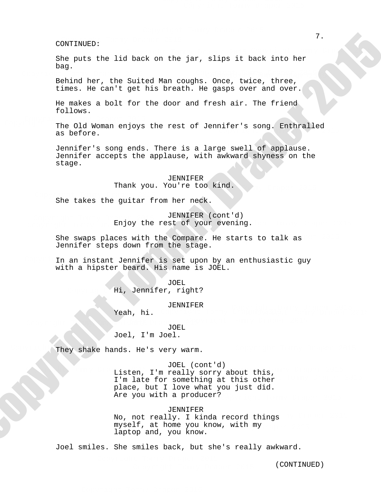She puts the lid back on the jar, slips it back into her bag.

Copyright Tommy Draper 2015 Behind her, the Suited Man coughs. Once, twice, three, times. He can't get his breath. He gasps over and over.

He makes a bolt for the door and fresh air. The friend follows.

The Old Woman enjoys the rest of Jennifer's song. Enthralled<br>as before as before.

> Jennifer's song ends. There is a large swell of applause. Jennifer accepts the applause, with awkward shyness on the stage.

> > JENNIFER Thank you. You're too kind.

She takes the guitar from her neck. Copyright Tommy Draper 2015

Enjoy the rest of your evening. JENNIFER (cont'd) Copyright Tommy Draper 2015 Enjoy tr

She swaps places with the Compare. He starts to talk as Jennifer steps down from the stage.

In an instant Jennifer is set upon by an enthusiastic guy with a hipster beard. His name is JOEL.

> Hi, Jennifer, right? JOEL

> > JENNIFER

Yeah, hi.

Copyright Tommy Draper 2015

## JOEL Joel, I'm Joel. Copyright Tommy Draper 2015

They shake hands. He's very warm.

Listen, I'm really sorry about this, place, but I love what you just did. I'm late for something at this other JOEL (cont'd) Are you with a producer? 2.<br>
2. Copyright the lid back on the jar, slips it hack into ber<br>
Phag.<br>
The prime the slips complete, these complete, there, where, the<br>
thems, he was such that the interaction is suppose over and nover.<br>
We make a notifi

JENNIFER

No, not really. I kinda record things myself, at home you know, with my laptop and, you know.

Joel smiles. She smiles back, but she's really awkward.

Copyright Tommy Draper 2015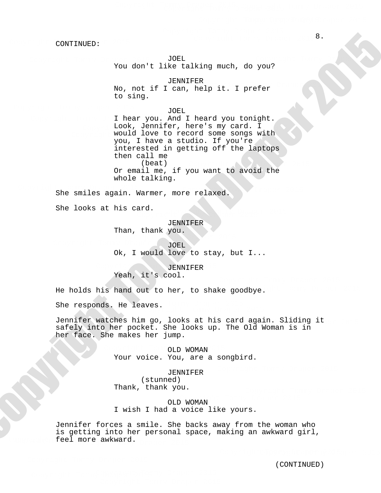JOEL You don't like talking much, do you? Copyright Tommy Draper 2015

JENNIFER No, not if I can, help it. I prefer to sing.

JOEL

Copyright Tommy Draper 2015 I hear you. And I heard you tonight. Look, Jennifer, here's my card. I would love to record some songs with you, I have a studio. If you're interested in getting off the laptops then call me (beat) Or email me, if you want to avoid the whole talking.  $\frac{1}{2}$ <br>  $\frac{1}{2}$   $\frac{1}{2}$   $\frac{1}{2}$   $\frac{1}{2}$   $\frac{1}{2}$   $\frac{1}{2}$   $\frac{1}{2}$   $\frac{1}{2}$   $\frac{1}{2}$   $\frac{1}{2}$   $\frac{1}{2}$   $\frac{1}{2}$   $\frac{1}{2}$   $\frac{1}{2}$   $\frac{1}{2}$   $\frac{1}{2}$   $\frac{1}{2}$   $\frac{1}{2}$   $\frac{1}{2}$   $\frac{1}{2}$   $\frac{1}{2}$ 

She smiles again. Warmer, more relaxed. Copyright Tommy Draper 2015

She looks at his card.

JENNIFER

Copyright Tommy Draper 2015 Than, thank you.

JOEL Ok, I would love to stay, but I...  $\overline{\mathbf{C}}$ 

> JENNIFER Yeah, it's cool.

He holds his hand out to her, to shake goodbye.

She responds. He leaves.  $\sqrt{C}$ .

Jennifer watches him go, looks at his card again. Sliding it schmiller watches him yo, loons at his card again. Silaing<br>safely into her pocket. She looks up. The Old Woman is in her face. She makes her jump.

> OLD WOMAN Your voice. You, are a songbird.

JENNIFER (stunned) Thank, thank you.

LIOMANI OLD WOMAN I wish I had a voice like yours.

Jennifer forces a smile. She backs away from the woman who feel more awkward. is getting into her personal space, making an awkward girl,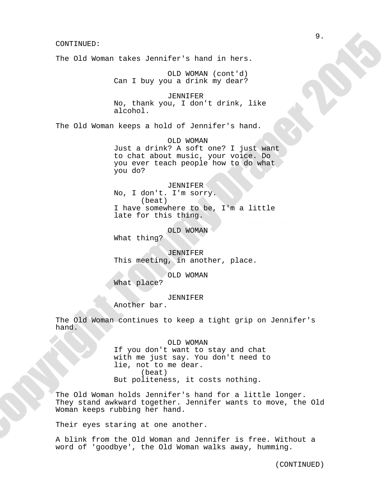The Old Woman takes Jennifer's hand in hers.

OLD WOMAN (cont'd) Can I buy you a drink my dear? and the company of the company of the company of the company of the company of the company of the company of the company of the company of the company of the company of the company of the company of the company of the comp

JENNIFER No, thank you, I don't drink, like alcohol.

The Old Woman keeps a hold of Jennifer's hand.

to chat about music, your voice. Do OLD WOMAN Just a drink? A soft one? I just want to chat about music, your voice. Bo<br>you ever teach people how to do what you do? Copyright Tommy Draper 2015. The set of the set of the set of the set of the set of the set of the set of the set of the set of the set of the set of the set of the set of the set of the set of the set of the set of the s

## JENNIFER

Copyright Tommy Draper 2015 No, I don't. I'm sorry.<br>(beat) (beat) late for this thing. I have somewhere to be, I'm a little Copyright Tommy Draper 2015

OLD WOMAN

What thing?

Copyright Tommy Draper 2015 Copyright Tommy Draper 2015 JENNIFER This meeting, in another, place. Copyright Tommy Draper 2015

> OLD WOMAN What place?

## JENNIFER

Another bar.

The Old Woman continues to keep a tight grip on Jennifer's hand.

## OLD WOMAN

The you don't want to stay and chat<br>with me just say. You don't need to If you don't want to stay and chat lie, not to me dear. (beat) (Deat)<br>But politeness, it costs nothing.

The Old Woman holds Jennifer's hand for a little longer. They stand awkward together. Jennifer wants to move, the Old Woman keeps rubbing her hand.

Their eyes staring at one another.

A blink from the Old Woman and Jennifer is free. Without a n biinn from the oid woman and sennifer to free. Wrenode a<br>word of 'goodbye', the Old Woman walks away, humming. nd Tommung.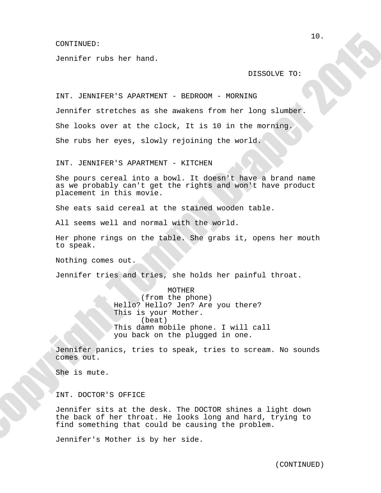#### Copyright Tommy Draper 2015 CONTINUED:

Jennifer rubs her hand.  $\mathbf{u}$ .

## DISSOLVE TO:

INT. JENNIFER'S APARTMENT - BEDROOM - MORNING Jennifer stretches as she awakens from her long slumber. She looks over at the clock, It is 10 in the morning. She rubs her eyes, slowly rejoining the world. Copyright Tommy Draper 2015 (computer)<br>
10.<br>
Jonather which her hand.<br>
11. Jonather which her hand.<br>
11. Jonather and Schwarz in the scheme from her long alumber.<br>
She hooks over our consist in the scheme from her long alumber.<br>
She hooks over our co

INT. JENNIFER'S APARTMENT - KITCHEN Copyright Tommy Draper 2015 and the components of the components of the components of the components of the components of the components of the components of the components of the components of the components of the compon

She pours cereal into a bowl. It doesn't have a brand name as we probably can't get the rights and won't have product<br>placement in this movie as we probably can c gec the 1.<br>placement in this movie. ment in this movie.

She eats said cereal at the stained wooden table.

All seems well and normal with the world.

Copyright Tommy Draper 2015 Her phone rings on the table. She grabs it, opens her mouth to speak.

Nothing comes out.

Copyright Tommy Draper 2015

Jennifer tries and tries, she holds her painful throat.  $\sum_{i=1}^{n}$ painful throat.

This This Tommy Draper 2015 This damn mobile phone. I will call MOTHER from the phone ( ) Hello? Hello? Jen? Are you there? This is your Mother. (beat) you back on the plugged in one.

Jennifer panics, tries to speak, tries to scream. No sounds comes out.

She is mute.

INT. DOCTOR'S OFFICE

 $C_{\rm{max}}$  Draper 2015  $\sim$  2015  $\sim$  2015  $\sim$  2015  $\sim$  2015  $\sim$  2015  $\sim$ Jennifer sits at the desk. The DOCTOR shines a light down the back of her throat. He looks long and hard, trying to find something that could be causing the problem.

Jennifer's Mother is by her side.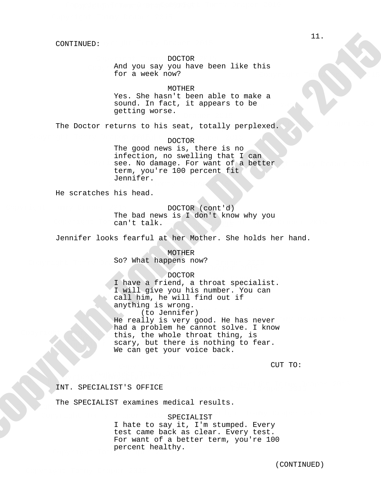## DOCTOR

And you say you have been like this for a week now? Copyright Tommy Draper 2015

MOTHER

Yes. She hasn't been able to make a sound. In fact, it appears to be getting worse.

The Doctor returns to his seat, totally perplexed.

DOCTOR

see. No damage. For want of a better<br>term, uouire 100 persont fit The good news is, there is no infection, no swelling that I can term, you're 100 percent fit Jennifer. Copyright Tommy Draper 2015

He scratches his head.

can't talk. Copyright Tommy Draper 2015 DOCTOR (cont'd) The bad news is I don't know why you

Jennifer looks fearful at her Mother. She holds her hand.

So? What happens now? MOTHER

## DOCTOR

this, the whole throat thing, is Scary, but there scary, but there is nothing to fear. DOCIOR<br>I have a friend, a throat specialist. Copyright Tommy Draper 2015 We can get your voice back. I will give you his number. You can call him, he will find out if anything is wrong. (to Jennifer) He really is very good. He has never<br>had a problem be gannet selve I know had a problem he cannot solve. I know 2019: 2014):<br>
And you any you have been like this<br>
11.  $\frac{1}{2}$  and you any you have been like this<br>
12.  $\frac{1}{2}$  and  $\frac{1}{2}$  and  $\frac{1}{2}$  and  $\frac{1}{2}$  and  $\frac{1}{2}$  and  $\frac{1}{2}$  and  $\frac{1}{2}$  and  $\frac{1}{2}$  and  $\frac$ 

Copyright Tommy Draper 2015

CUT TO:

Copyright Tommy Draper 2015 INT. SPECIALIST'S OFFICE

Copyright Tommy Draper 2015

The SPECIALIST examines medical results.

 $\Gamma$  Or  $\Gamma$ SPECIALIST

percent healthy. I hate to say it, I'm stumped. Every test came back as clear. Every test. For want of a better term, you're 100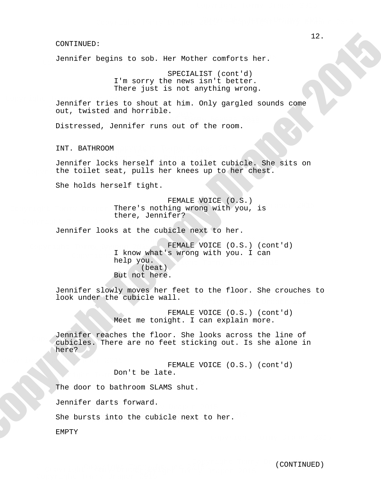Jennifer begins to sob. Her Mother comforts her. . Her Mother comforts her.

> SPECIALIST (cont'd) I'm sorry the news isn't better. There just is not anything wrong.

out, twisted and horrible. Jennifer tries to shout at him. Only gargled sounds come Copyright Tommy Draper 2015

Distressed, Jennifer runs out of the room. Copyright Tommy Draper 2015

INT. BATHROOM Copyright Tommy Draper 2015

Copyright Tommy Draper 2015 Jennifer locks herself into a toilet cubicle. She sits on the toilet seat, pulls her knees up to her chest.

She holds herself tight.

There's nothing wrong with you, is FEMALE VOICE (O.S.) there, Jennifer? Copyright Tommy Draper 2015

Jennifer looks at the cubicle next to her.

Copyright Tommy Draper 2015 FEMALE VOICE (O.S.) (cont'd) I know what's wrong with you. I can  $\sum_{n=1}^{\infty}$ help you. (beat) But not here. Copyright Tommy Draper 2015 PEMALE VOI (computer)<br>
32. Computer begins to solo. Ner Mother conforce her.<br>
The sort operations (compute)<br>
12. Contras in a symphomy cross of the new state of the solonic state.<br>
12. Contras in the symphomy cross of the solonic sta

Jennifer slowly moves her feet to the floor. She crouches to look under the cubicle wall.

> FEMALE VOICE (O.S.) (cont'd) Meet me tonight. I can explain more.

Jennifer reaches the floor. She looks across the line of cubicles. There are no feet sticking out. Is she alone in here?

Copyright Tommy Draper 2015 FEMALE VOICE (O.S.) (cont'd) Don't be late.

The door to bathroom SLAMS shut.  $\overline{C}$  copyright Tommy Draper 2015  $\overline{C}$ 

> ACLED LOINCLA. Jennifer darts forward.

She bursts into the cubicle next to her.

EMPTY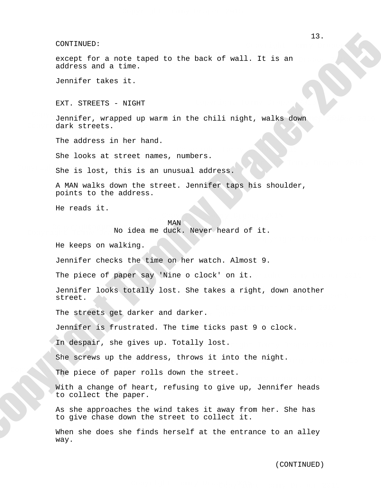except for a note taped to the back of wall. It is an address and a time. xcept for a note taped to the back of wall. It is an

Jennifer takes it.

EXT. STREETS - NIGHT

Jennifer, wrapped up warm in the chili night, walks down dark streets.

Copyright Tommy Draper 2015

 $C_1$  ,  $C_2$  ,  $C_3$  ,  $C_4$  ,  $C_5$  ,  $C_6$  ,  $C_7$  ,  $C_8$  ,  $C_9$  ,  $C_9$  ,  $C_9$  ,  $C_9$  ,  $C_9$  ,  $C_9$  ,  $C_9$  ,  $C_9$  ,  $C_9$  ,  $C_9$  ,  $C_9$  ,  $C_9$  ,  $C_9$  ,  $C_9$  ,  $C_9$  ,  $C_9$  ,  $C_9$  ,  $C_9$  ,  $C_9$  ,  $C_9$ 

The address in her hand.

She looks at street names, numbers.

She is lost, this is an unusual address.

A MAN walks down the street. Jennifer taps his shoulder, points to the address.

He reads it.

MAN COPYRIGHT TOMAT DRAPER 2015 MAN

No idea me duck. Never heard of it.

He keeps on walking.

Jennifer checks the time on her watch. Almost 9.

 $\mathfrak{t}$ . The piece of paper say 'Nine o clock' on it.

Jennifer looks totally lost. She takes a right, down another street. Copyright Tommy Draper 2015 (contraint)<br>
Socord for a mote taped to the back of wall, It is an exact for a mote taped to the back of wall, It is an<br>
defining und a time.<br>
Yer, symmetry various under in the chili sight, walke down<br>
Socord since the me

The streets get darker and darker.

Jennifer is frustrated. The time ticks past 9 o clock.

OST. In despair, she gives up. Totally lost.

She screws up the address, throws it into the night.

 $C_{\rm{max}}$  Draper 2015  $\sim$  2015  $\sim$  2015  $\sim$  2015  $\sim$  2015  $\sim$  2015  $\sim$ The piece of paper rolls down the street.

> With a change of heart, refusing to give up, Jennifer heads to collect the paper.

As she approaches the wind takes it away from her. She has to give chase down the street to collect it.

When she does she finds herself at the entrance to an alley way.

Copyright Tommy Draper 2015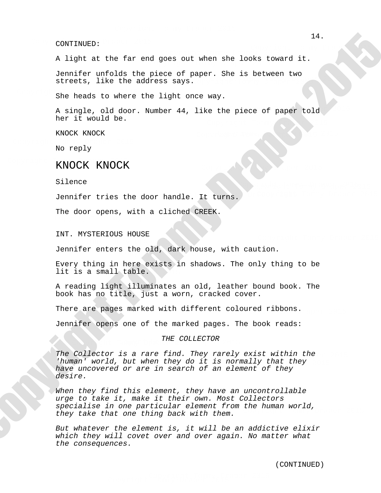A light at the far end goes out when she looks toward it. Copyright Tommy Draper 2015

Jennifer unfolds the piece of paper. She is between two<br>streets like the address says streets, like the address says. Copyright Tommy Draper 2015

She heads to where the light once way.

A single, old door. Number 44, like the piece of paper told her it would be.

KNOCK KNOCK

No reply

# KNOCK KNOCK

Silence

Jennifer tries the door handle. It turns.

The door opens, with a cliched CREEK. Copyright Tommy Draper 2015

INT. MYSTERIOUS HOUSE

Jennifer enters the old, dark house, with caution.

lit is a small table. Every thing in here exists in shadows. The only thing to be

A reading light illuminates an old, leather bound book. The book has no title, just a worn, cracked cover.

There are pages marked with different coloured ribbons.

Jennifer opens one of the marked pages. The book reads:

#### This Copyright Tommy Draper 2015 THE COLLECTOR

The Collector is a rare find. They rarely exist within the 'human' world, but when they do it is normally that they have uncovered or are in search of an element of they desire. 2019 (2019) 2014<br>
21. Aligard at the far end gode surt when she looks toward it.<br>
21. Aligard at the far end gode sure 2019 (2019) 21. Aligard at the same of the components of the same of the same of the same of paper 2016

they take that one thing back with them. When they find this element, they have an uncontrollable specialise in one particular element from the human world,<br>they take that one thing back with them urge to take it, make it their own. Most Collectors

But whatever the element is, it will be an addictive elixir which they will covet over and over again. No matter what the consequences.

Copyright Tommy Draper 2015

Copyright Tommy Draper 2015

Copyright Tommy Draper 2015

Copyright Tommy Draper 2015

Copyright Tommy Draper 2015

 $\mathcal{C}$  and  $\mathcal{C}$  are  $\mathcal{C}$  and  $\mathcal{C}$  are  $\mathcal{C}$  and  $\mathcal{C}$  are  $\mathcal{C}$  and  $\mathcal{C}$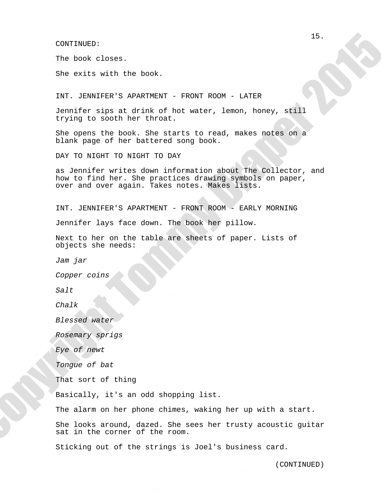The book closes.

She exits with the book.

Copyright Tommy Draper 2015 INT. JENNIFER'S APARTMENT - FRONT ROOM - LATER

> Jennifer sips at drink of hot water, lemon, honey, still trying to sooth her throat.

She opens the book. She starts to read, makes notes on a blank page of her battered song book. Copyright Tommy Draper 2015 She opens the book. She starts to read, makes notes on a

DAY TO NIGHT TO NIGHT TO DAY

as Jennifer writes down information about The Collector, and how to find her. She practices drawing symbols on paper, now to find neft one practices drawing symbols<br>over and over again. Takes notes. Makes lists. (2007-2014):<br>
The book closes.<br>
Specialized with the book.<br>
INT. Jumitrized Schenburght - FRANT ROWN - LATIR<br>
INTERN 10 solon less that all the venter. Lemma, homey, will<br>
trying to social methods.<br>
Similar hand compare 20

The Committee 2015 and 2015 INT. JENNIFER'S APARTMENT - FRONT ROOM - EARLY MORNING

Jennifer lays face down. The book her pillow.

Next to her on the table are sheets of paper. Lists of objects she needs:

Jam jar

Copper coins

Salt Copyright Tommy Draper 2015

Chalk

Blessed water

Rosemary sprigs

Eye of newt

Tongue of bat

That sort of thing  $\sum_{i=1}^{n}$ 

Basically, it's an odd shopping list.

Copyright Tommy Draper 2015

The alarm on her phone chimes, waking her up with a start.

She looks around, dazed. She sees her trusty acoustic guitar sat in the corner of the room.

Sticking out of the strings is Joel's business card.

(CONTINUED)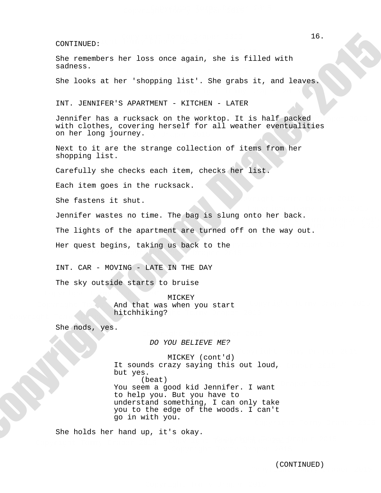She remembers her loss once again, she is filled with sadness.

She looks at her 'shopping list'. She grabs it, and leaves.

INT. JENNIFER'S APARTMENT - KITCHEN - LATER

Jennifer has a rucksack on the worktop. It is half packed with clothes, covering herself for all weather eventualities on her long journey.

Next to it are the strange collection of items from her shopping list.

Carefully she checks each item, checks her list.

Each item goes in the rucksack.

She fastens it shut.

Jennifer wastes no time. The bag is slung onto her back.

The lights of the apartment are turned off on the way out.  $\epsilon$  the community  $\epsilon$  draper 2015  $\epsilon$  or the community

Copyright Tommy Draper 2015

 $\mathbf{C}$ Her quest begins, taking us back to the

INT. CAR - MOVING - LATE IN THE DAY

The sky outside starts to bruise

mice Tommy Draper 2015 hitchhiking? and that was when you start Copyright Tommy Draper 2015 MICKEY

She nods, yes.

DO YOU BELIEVE ME?

You seem a good kid Jennifer. I want It sounds crazy saying this out loud, MICKEY (cont'd) but yes. (beat) to help you. But you have to understand something, I can only take you to the edge of the woods. I can't go in with you. (compressions for loss comprehense and its stilled with<br>
Six cooks at her ishopping list: Six grabs it, and losses<br>
Tom, Justinstan, Six increases are increased by the state increases<br>
Tom, Justinstan American, The State H

She holds her hand up, it's okay.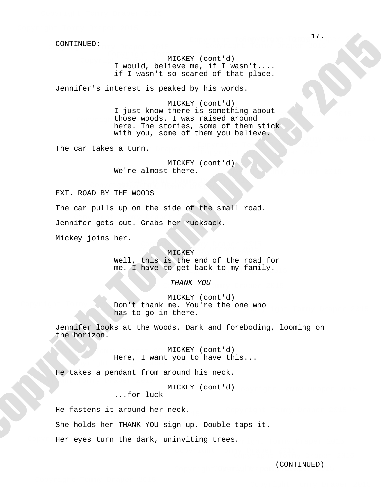MICKEY (cont'd) I would, believe me, if I wasn't.... if I wasn't so scared of that place.  $MTOUT$  $\overline{C}$ 

Jennifer's interest is peaked by his words.

those woods. I was raised around MICKEY (cont'd) I just know there is something about here. The stories, some of them stick with you, some of them you believe. Copyright Tommy Draper 2015

Copyright Tommy Draper 2015

The car takes a turn.

MICKEY (cont'd) We're almost there. Copyright Tommy Draper 2015

Copyright Tommy Draper 2015

Copyright Tommy Draper 2015 EXT. ROAD BY THE WOODS The car pulls up on the side of the small road. Jennifer gets out. Grabs her rucksack. Mickey joins her. Copyright Tommy Draper 2015 27.<br>
27. Copyright Tommy Draper 2015<br>
17. Copyright Tommy Draper 2015<br>
17. Committeen the second of these committees.<br>
18. Due there is committed to these committees.<br>
2. Just here is committed about about<br>
18. Copyright T

Copyright Tommy Draper 2015

weil, this is the end of the foad for<br>me. I have to get back to my family. MICKEY NEWSLEY Well, this is the end of the road for

THANK YOU

Don't thank me. You're the one who will be a set of the set of the set of the set of the set of the set of the set of the set of the set of the set of the set of the set of the set of the set of the set of the set of the set of the set of the set of the set MICKEY (cont'd) has to go in there.

Jennifer looks at the Woods. Dark and foreboding, looming on the horizon.

Copyright Tommy Draper 2015 MICKEY (cont'd) Here, I want you to have this... Copyright Tommy Draper 2015

He takes a pendant from around his neck.

MICKEY (cont'd)

...for luck

He fastens it around her neck.<br>

She holds her THANK YOU sign up. Double taps it.

Her eyes turn the dark, uninviting trees. es.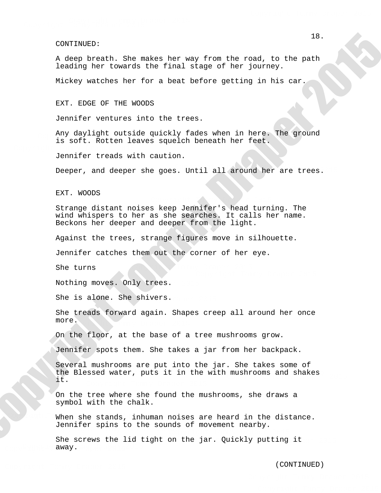A deep breath. She makes her way from the road, to the path leading her towards the final stage of her journey.

Mickey watches her for a beat before getting in his car.

EXT. EDGE OF THE WOODS

Jennifer ventures into the trees.

Any daylight outside quickly fades when in here. The ground is soft. Rotten leaves squelch beneath her feet.

Jennifer treads with caution.

Deeper, and deeper she goes. Until all around her are trees.

Copyright Tommy Draper 2015

EXT. WOODS

Strange distant noises keep Jennifer's head turning. The belange distant noises keep benniter s nead tuining. The<br>wind whispers to her as she searches. It calls her name. Beckons her deeper and deeper from the light.

Against the trees, strange figures move in silhouette.

Jennifer catches them out the corner of her eye.

She turns

Nothing moves. Only trees.

She is alone. She shivers.

Copyright Tommy Draper 2015 She treads forward again. Shapes creep all around her once more.

Copyright Tommy Draper 2015

On the floor, at the base of a tree mushrooms grow.

Jennifer spots them. She takes a jar from her backpack.

beverar mashrooms are pactned one jar. She canes some or<br>the Blessed water, puts it in the with mushrooms and shakes Several mushrooms are put into the jar. She takes some of it. 28.<br>
28. Geogr broacht, She makes her way from the road, to the path<br>
18. Geogr broacht Tomms Draper Commission Control of the figure<br>
2015 The meaning the figure of the figure of the figure<br>
2015 The meaning the results o

On the tree where she found the mushrooms, she draws a symbol with the chalk.

When she stands, inhuman noises are heard in the distance. Jennifer spins to the sounds of movement nearby.

away. She screws the lid tight on the jar. Quickly putting it

(CONTINUED)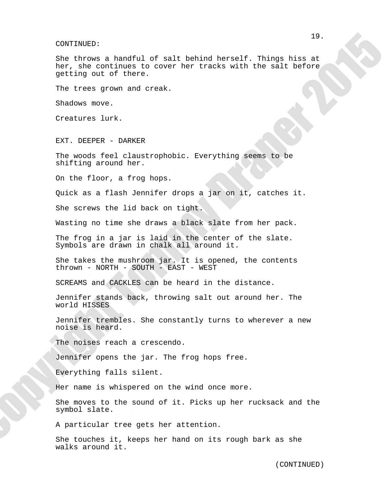#### $\Gamma$ CONTINUED:

She throws a handful of salt behind herself. Things hiss at her, she continues to cover her tracks with the salt before getting out of there. (comprison)<br>
29. Converge a handful of salt behind herself. Things his set<br>there is a morningen to sover her creaks with the salt before<br>
their cut of these,<br>
the trees grown and creak.<br>
The trees grown and creak.<br>
The sec

The trees grown and creak.

Shadows move.

Creatures lurk.

EXT. DEEPER - DARKER

The woods feel claustrophobic. Everything seems to be shifting around her.

On the floor, a frog hops.

Quick as a flash Jennifer drops a jar on it, catches it.

Copyright Tommy Draper 2015

Copyright Tommy Draper 2015

She screws the lid back on tight.

Wasting no time she draws a black slate from her pack.

Copyright Tommy Draper 2015 The frog in a jar is laid in the center of the slate. Symbols are drawn in chalk all around it.

Copyright Tommy Draper 2015 She takes the mushroom jar. It is opened, the contents thrown - NORTH - SOUTH - EAST - WEST

SCREAMS and CACKLES can be heard in the distance.

The middle Jennifer stands back, throwing salt out around her. The world HISSES

Jennifer trembles. She constantly turns to wherever a new noise is heard. Copyright Tommy Draper 2015

The noises reach a crescendo.

Jennifer opens the jar. The frog hops free.

Everything falls silent.

Copyright Tommy Draper 2015

Her name is whispered on the wind once more.

Lend ap net rachback and c She moves to the sound of it. Picks up her rucksack and the symbol slate.

A particular tree gets her attention.

 $\alpha$  it. She touches it, keeps her hand on its rough bark as she walks around it.

Copyright Tommy Draper 2015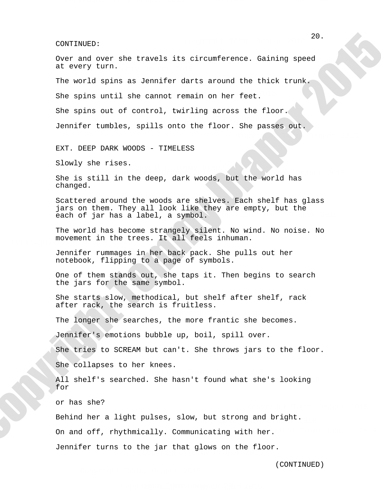Over and over she travels its circumference. Gaining speed at every turn.

The world spins as Jennifer darts around the thick trunk.

She spins until she cannot remain on her feet.

She spins out of control, twirling across the floor.

Jennifer tumbles, spills onto the floor. She passes out.

EXT. DEEP DARK WOODS - TIMELESS

Slowly she rises.

She is still in the deep, dark woods, but the world has Copyright Tommy Draper 2015 Copyright Tommy Draper 2015 changed.

Copyright Tommy Draper 2015 jars on them. They all look like they are empty, but the Scattered around the woods are shelves. Each shelf has glass Copyright Tommy Draper 2015 each of jar has a label, a symbol. 20.<br>
Copyright Tommy Draper Side erawals its circumforence. Saining apeed<br>
20. Copyright Tommy Draper 2015 of the cause of the cause of the first counter<br>
2016 order and it cause of committed and the field of the state<br>
20

Copyright Tommy Draper 2015

The world has become strangely silent. No wind. No noise. No movement in the trees. It all feels inhuman.

> Jennifer rummages in her back pack. She pulls out her notebook, flipping to a page of symbols.

the jars for the same symbol. One of them stands out, she taps it. Then begins to search

She starts slow, methodical, but shelf after shelf, rack she starts siow, methodical, but she<br>after rack, the search is fruitless.

The longer she searches, the more frantic she becomes.

Jennifer's emotions bubble up, boil, spill over.

She tries to SCREAM but can't. She throws jars to the floor.

She collapses to her knees.

All shelf's searched. She hasn't found what she's looking for

or has she?

Behind her a light pulses, slow, but strong and bright.

On and off, rhythmically. Communicating with her.

 $\sum_{i=1}^{n}$   $\sum_{i=1}^{n}$   $\sum_{i=1}^{n}$   $\sum_{i=1}^{n}$   $\sum_{i=1}^{n}$ Jennifer turns to the jar that glows on the floor.

Copyright Tommy Draper 2015

(CONTINUED)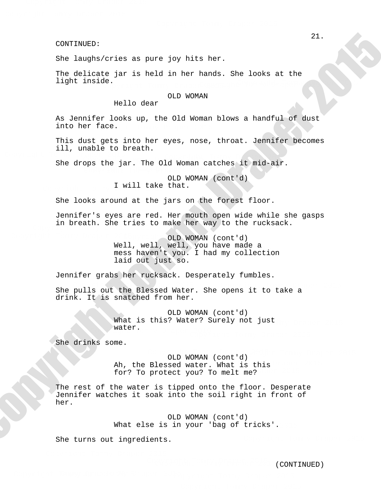She laughs/cries as pure joy hits her.

The delicate jar is held in her hands. She looks at the light inside.  $\mathbb{C}$ .

## OLD WOMAN

Hello dear

As Jennifer looks up, the Old Woman blows a handful of dust into her face.

This dust gets into her eyes, nose, throat. Jennifer becomes ill, unable to breath. Copyright Tommy Draper 2015

She drops the jar. The Old Woman catches it mid-air. Copyright Tommy Draper 2015  $C_{\mathbf{r}}$  and  $C_{\mathbf{r}}$  are  $C_{\mathbf{r}}$  and  $C_{\mathbf{r}}$  are  $C_{\mathbf{r}}$  are  $C_{\mathbf{r}}$  are  $C_{\mathbf{r}}$ 

OLD WOMAN (cont'd) I will take that.

She looks around at the jars on the forest floor.

bennifer s eyes are red. Her moden open wide while she<br>in breath. She tries to make her way to the rucksack. Jennifer's eyes are red. Her mouth open wide while she gasps

> Well, well, well, you have made a OLD WOMAN (cont'd) mess haven't you. I had my collection laid out just so.

Jennifer grabs her rucksack. Desperately fumbles.

copyright Tommy Draper 2015 Copyright Tommy Draper 2015 She pulls out the Blessed Water. She opens it to take a drink. It is snatched from her.

> water. What is this? Water? Surely not just<br>what is this? Water? Surely not just OLD WOMAN (cont'd)

She drinks some.

for? To protect you? To melt me? Ah, the Blessed water. What is this OLD WOMAN (cont'd)  $CTP$ ,  $TQ$  $\overline{G}$ 

The rest of the water is tipped onto the floor. Desperate Jennifer watches it soak into the soil right in front of her. 21.<br>
22. Copyright Tommas De Para is not in the heater.<br>
The dealerst end in the heater. She looks at the<br>
11216 door COD NOMON<br>
22. The Linds of the Cole with Draper 2015 and<br>
22. The Constraints of the Cole with Draper 2

What else is in your 'bag of tricks'. OLD WOMAN (cont'd)

She turns out ingredients.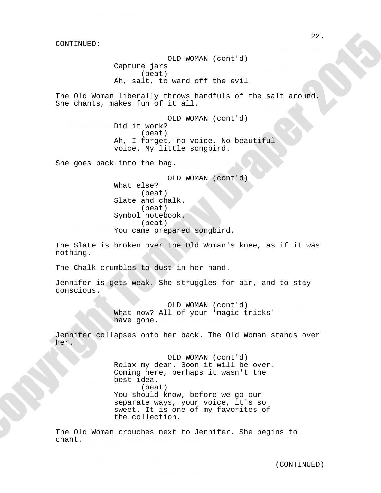OLD WOMAN (cont'd) Capture jars (beat) Ah, salt, to ward off the evil

The Old Woman liberally throws handfuls of the salt around. She chants, makes fun of it all. Copyright Tommy Draper 2015

An, I Lorget, no voice. No bea OLD WOMAN (cont'd) Did it work? COLD WOMAN (COPYRIGHT TOMMUNIC) (beat) Ah, I forget, no voice. No beautiful Copyright Tommy Draper 2015

She goes back into the bag. State Tommy Draper 2015

Copyright Tommy Draper 2015

OLD WOMAN (cont'd) What else? (beat) Slate and chalk. (beat) Symbol notebook. You came prepared songbird. (beat)

> The Slate is broken over the Old Woman's knee, as if it was nothing.

Copyright Tommer Thanks The Chalk crumbles to dust in her hand.

Jennifer is gets weak. She struggles for air, and to stay conscious.

OLD WOMAN (cont'd)<br>United to the principle to the late of the late of the context of the late of the late of the late of the late What now? All of your 'magic tricks' have gone.

Jennifer collapses onto her back. The Old Woman stands over her.

You should know, before we go our OLD WOMAN (cont'd) best idea.<br>Copyright Tommy Draper 2015 Copyright Tommy Draper 2015 CHE COITECLION. the collection. Relax my dear. Soon it will be over. reidn my dedi: 500n ic witt be over.<br>Coming here, perhaps it wasn't the (beat) separate ways, your voice, it's so sweet. It is one of my favorites of 22. Coptures jures<br>
22. Coptures jures<br>
22. Coptures jures<br>
23. Railways (correct)<br>
23. Railways (1992) 200837 (contr's)<br>
23. Cole Framers, ambre fur. of the completed.<br>
23. Phonor Program Control (contr's)<br>
23. Phonor Pro

 $\mathcal{L}$  Copyright Tommy Draper 2015  $\mathcal{L}$ The Old Woman crouches next to Jennifer. She begins to chant.

Copyright Tommy Draper 2015

Copyright Tommy Draper 2015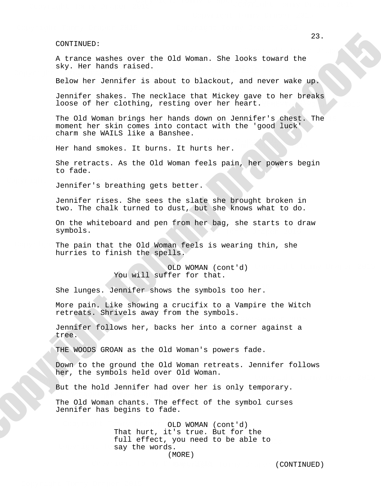A trance washes over the Old Woman. She looks toward the sky. Her hands raised.  $C^{\alpha}$ . Copyright Tommy Draper 2015

Below her Jennifer is about to blackout, and never wake up.

Jennifer shakes. The necklace that Mickey gave to her breaks loose of her clothing, resting over her heart.

The Old Woman brings her hands down on Jennifer's chest. The moment her skin comes into contact with the 'good luck' charm she WAILS like a Banshee. 23.<br>
23. A trace weakes over the Old Woman, the looks toward the<br>
Argy, wer hundi musics.<br>
Helpy, wer hundi musics.<br>
Tommy Draper 2015 to black thickey were to has breaked<br>
Vermelice Manney Draper 2015 to black thickey wer

Her hand smokes. It burns. It hurts her.

She retracts. As the Old Woman feels pain, her powers begin to fade.

Jennifer's breathing gets better. Copyright Tommy Draper 2015

> two. The chalk turned to dust, but she knows what to do. Jennifer rises. She sees the slate she brought broken in

On the whiteboard and pen from her bag, she starts to draw symbols. Copyright Tommy Draper 2015

The pain that the Old Woman feels is wearing thin, she hurries to finish the spells.

> OLD WOMAN (cont'd) You will suffer for that.

She lunges. Jennifer shows the symbols too her.

More pain. Like showing a crucifix to a Vampire the Witch retreats. Shrivels away from the symbols. Copyright Tommy Draper 2015

Jennifer follows her, backs her into a corner against a tree. Copyright Tommy Draper 2015

THE WOODS GROAN as the Old Woman's powers fade.

 $C_{\rm{max}}$  Draper 2015  $\sim$   $C_{\rm{max}}$  Draper 2015  $\sim$ 

Down to the ground the Old Woman retreats. Jennifer follows her, the symbols held over Old Woman.

But the hold Jennifer had over her is only temporary. Copyright Tommy Draper 2015

The Old Woman chants. The effect of the symbol curses Jennifer has begins to fade.

OLD WOMAN (cont'd) say the words. full effect, you need to be able to That hurt, it's true. But for the (MORE)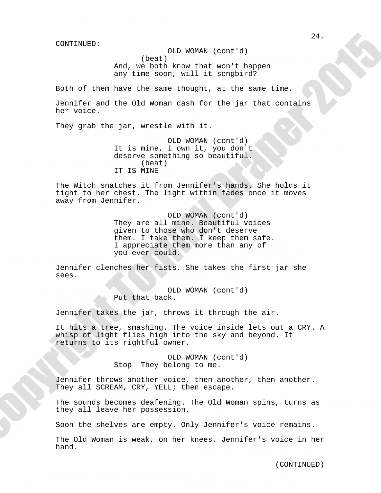OLD WOMAN (cont'd)

(beat)

And, we both know that won't happen any time soon, will it songbird? Copyright Tommy Draper 2015 Copyright Tommy Draper 2015

 $C_{\rm{max}}$  Draper 2015  $\sim$  Draper 2015  $\sim$  Draper 2015  $\sim$ Both of them have the same thought, at the same time.

Jennifer and the Old Woman dash for the jar that contains her voice.

They grab the jar, wrestle with it. Copyright Tommy Draper 2015

 $\overline{C}$ OLD WOMAN (cont'd) It is mine, I own it, you don't deserve something so beautiful. (beat) IT IS MINE

The Witch snatches it from Jennifer's hands. She holds it tight to her chest. The light within fades once it moves away from Jennifer.

I appreciate them more than any of  $y \circ a$ OLD WOMAN (cont'd) They are all mine. Beautiful voices chem. I cake chem. I keep chem sare.<br>I appreciate them more than any of<br>VOU ever Could given to those who don't deserve them. I take them. I keep them safe. you ever could. 24.<br>
24. (boat) (and the minimizar of the minimizar of the minimizar of the minimizar of the minimizar of the minimizar of the minimizar of the oriental parameter and the of d terms data for the particle line<br>
Denote the

Copyright Tommy Draper 2015

Copyright Tommy Draper 2015  $\tau$  draps drapped 2015  $\tau$ Jennifer clenches her fists. She takes the first jar she Copyright Tommy Draper 2015 sees.

Put that back. OLD WOMAN (cont'd) Copyright Tommy Draper 2015

Jennifer takes the jar, throws it through the air.

Copyright Tommy Draper 2015 returns to its rightful owner. It hits a tree, smashing. The voice inside lets out a CRY. A whisp of light flies high into the sky and beyond. It

> OLD WOMAN (cont'd) Stop! They belong to me.

Copyright Tommy Draper 2015 Jennifer throws another voice, then another, then another. They all SCREAM, CRY, YELL; then escape.

The sounds becomes deafen The sounds becomes deafening. The Old Woman spins, turns as<br>they all leave ber pessession Inc Sounds Decomes dearening. The order Copyright Tommy Draper 2015

Soon the shelves are empty. Only Jennifer's voice remains.

The Old Woman is weak, on her knees. Jennifer's voice in her hand.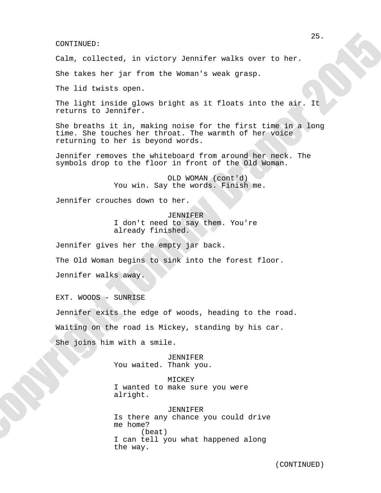Calm, collected, in victory Jennifer walks over to her.

She takes her jar from the Woman's weak grasp. Sp.

The lid twists open.

The light inside glows bright as it floats into the air. It<br>returns to Jennifer returns to Jennifer. Copyright Tommy Draper 2015

She breaths it in, making noise for the first time in a long time. She touches her throat. The warmth of her voice returning to her is beyond words. 25.<br>
Colorination<br>
Colorination of the Franchistan scheme of the Sommania weak museum.<br>
25. Commission can be known the Kommania weak museum.<br>
The idea where including the station of the float internation of the station of

Jennifer removes the whiteboard from around her neck. The symbols drop to the floor in front of the Old Woman.

> OLD WOMAN (cont'd) You win. Say the words. Finish me.  $\epsilon$

Jennifer crouches down to her.

JENNIFER Copyright Tommy Draper 2015 I don't need to say them. You're already finished.

Jennifer gives her the empty jar back.

The Old Woman begins to sink into the forest floor.

Jennifer walks away.

EXT. WOODS - SUNRISE Copyright Tommy Draper 2015 Copyright Tommy Draper 2015

Jennifer exits the edge of woods, heading to the road.

Waiting on the road is Mickey, standing by his car.

She joins him with a smile. She joins him with a smile.

> JENNIFER Copyright Tommy Draper 2015 You waited. Thank you.

I wanted to make sure you were<br>alright optre 2015 aan de 2015 van de 2015 van de 2015 van de 2015 van de 2015 van de 2015 van de 2015 van de 2015 van<br>Gebeure MICKEY alright.

me home?  $\overline{\mathbf{C}}$ real)<br>I can tell you what happened along JENNIFER Is there any chance you could drive (beat) the way.